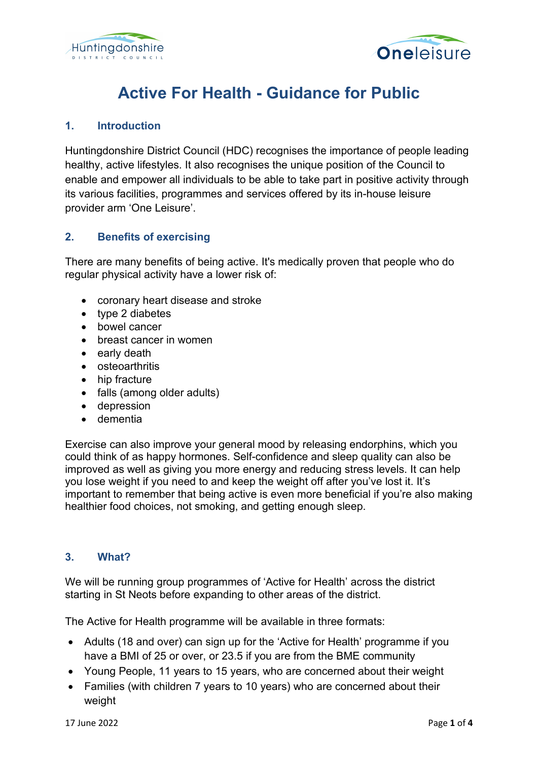



# **Active For Health - Guidance for Public**

## **1. Introduction**

Huntingdonshire District Council (HDC) recognises the importance of people leading healthy, active lifestyles. It also recognises the unique position of the Council to enable and empower all individuals to be able to take part in positive activity through its various facilities, programmes and services offered by its in-house leisure provider arm 'One Leisure'.

### **2. Benefits of exercising**

There are many benefits of being active. It's medically proven that people who do regular physical activity have a lower risk of:

- coronary heart disease and stroke
- type 2 diabetes
- bowel cancer
- breast cancer in women
- early death
- osteoarthritis
- hip fracture
- falls (among older adults)
- depression
- dementia

Exercise can also improve your general mood by releasing endorphins, which you could think of as happy hormones. Self-confidence and sleep quality can also be improved as well as giving you more energy and reducing stress levels. It can help you lose weight if you need to and keep the weight off after you've lost it. It's important to remember that being active is even more beneficial if you're also making healthier food choices, not smoking, and getting enough sleep.

### **3. What?**

We will be running group programmes of 'Active for Health' across the district starting in St Neots before expanding to other areas of the district.

The Active for Health programme will be available in three formats:

- Adults (18 and over) can sign up for the 'Active for Health' programme if you have a BMI of 25 or over, or 23.5 if you are from the BME community
- Young People, 11 years to 15 years, who are concerned about their weight
- Families (with children 7 years to 10 years) who are concerned about their weight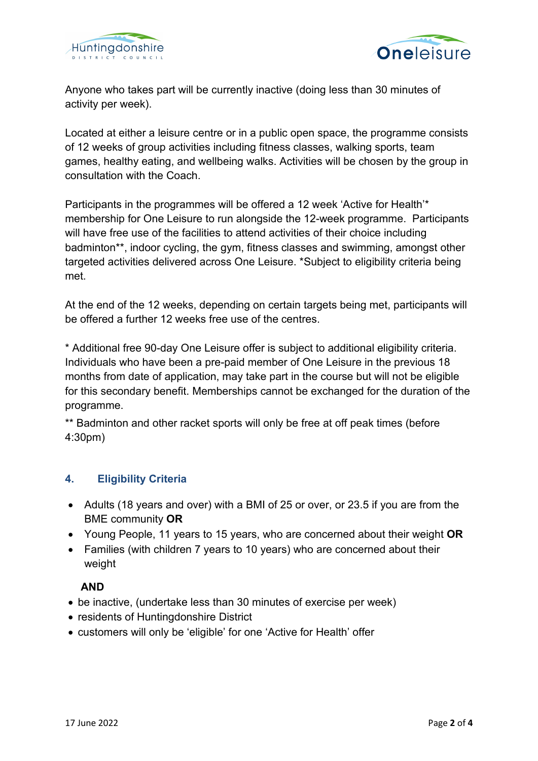



Anyone who takes part will be currently inactive (doing less than 30 minutes of activity per week).

Located at either a leisure centre or in a public open space, the programme consists of 12 weeks of group activities including fitness classes, walking sports, team games, healthy eating, and wellbeing walks. Activities will be chosen by the group in consultation with the Coach.

Participants in the programmes will be offered a 12 week 'Active for Health'\* membership for One Leisure to run alongside the 12-week programme. Participants will have free use of the facilities to attend activities of their choice including badminton\*\*, indoor cycling, the gym, fitness classes and swimming, amongst other targeted activities delivered across One Leisure. \*Subject to eligibility criteria being met.

At the end of the 12 weeks, depending on certain targets being met, participants will be offered a further 12 weeks free use of the centres.

\* Additional free 90-day One Leisure offer is subject to additional eligibility criteria. Individuals who have been a pre-paid member of One Leisure in the previous 18 months from date of application, may take part in the course but will not be eligible for this secondary benefit. Memberships cannot be exchanged for the duration of the programme.

\*\* Badminton and other racket sports will only be free at off peak times (before 4:30pm)

# **4. Eligibility Criteria**

- Adults (18 years and over) with a BMI of 25 or over, or 23.5 if you are from the BME community **OR**
- Young People, 11 years to 15 years, who are concerned about their weight **OR**
- Families (with children 7 years to 10 years) who are concerned about their weight

# **AND**

- be inactive, (undertake less than 30 minutes of exercise per week)
- residents of Huntingdonshire District
- customers will only be 'eligible' for one 'Active for Health' offer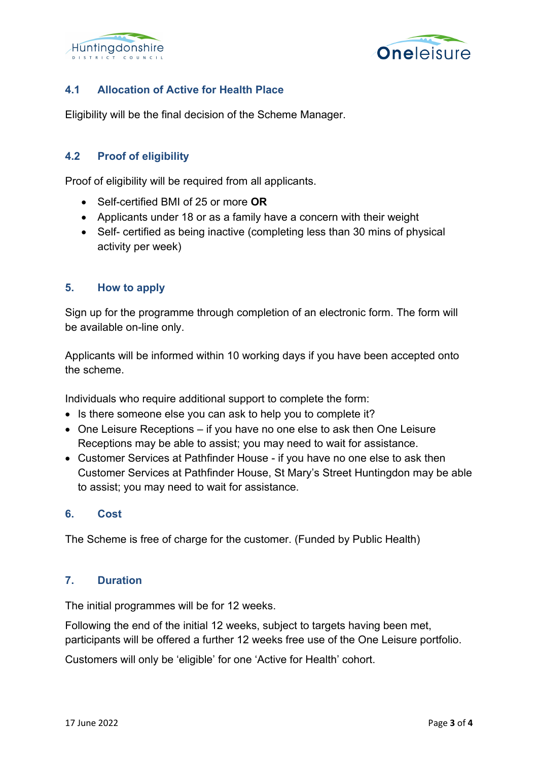



# **4.1 Allocation of Active for Health Place**

Eligibility will be the final decision of the Scheme Manager.

# **4.2 Proof of eligibility**

Proof of eligibility will be required from all applicants.

- Self-certified BMI of 25 or more **OR**
- Applicants under 18 or as a family have a concern with their weight
- Self- certified as being inactive (completing less than 30 mins of physical activity per week)

#### **5. How to apply**

Sign up for the programme through completion of an electronic form. The form will be available on-line only.

Applicants will be informed within 10 working days if you have been accepted onto the scheme.

Individuals who require additional support to complete the form:

- Is there someone else you can ask to help you to complete it?
- One Leisure Receptions if you have no one else to ask then One Leisure Receptions may be able to assist; you may need to wait for assistance.
- Customer Services at Pathfinder House if you have no one else to ask then Customer Services at Pathfinder House, St Mary's Street Huntingdon may be able to assist; you may need to wait for assistance.

#### **6. Cost**

The Scheme is free of charge for the customer. (Funded by Public Health)

## **7. Duration**

The initial programmes will be for 12 weeks.

Following the end of the initial 12 weeks, subject to targets having been met, participants will be offered a further 12 weeks free use of the One Leisure portfolio.

Customers will only be 'eligible' for one 'Active for Health' cohort.